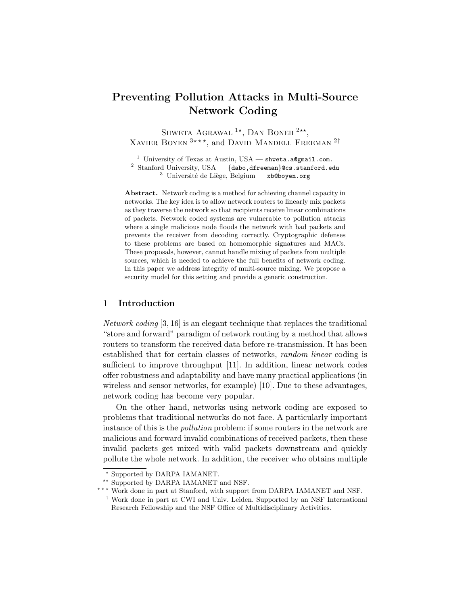# Preventing Pollution Attacks in Multi-Source Network Coding

SHWETA AGRAWAL<sup>1\*</sup>, DAN BONEH<sup>2\*\*</sup>, XAVIER BOYEN  $3***$ , and DAVID MANDELL FREEMAN  $2^{\dagger}$ 

<sup>1</sup> University of Texas at Austin, USA — shweta.a@gmail.com.

<sup>2</sup> Stanford University, USA  $-$  {dabo, dfreeman}@cs.stanford.edu

 $3$  Université de Liège, Belgium — xb@boyen.org

Abstract. Network coding is a method for achieving channel capacity in networks. The key idea is to allow network routers to linearly mix packets as they traverse the network so that recipients receive linear combinations of packets. Network coded systems are vulnerable to pollution attacks where a single malicious node floods the network with bad packets and prevents the receiver from decoding correctly. Cryptographic defenses to these problems are based on homomorphic signatures and MACs. These proposals, however, cannot handle mixing of packets from multiple sources, which is needed to achieve the full benefits of network coding. In this paper we address integrity of multi-source mixing. We propose a security model for this setting and provide a generic construction.

# 1 Introduction

Network coding [3, 16] is an elegant technique that replaces the traditional "store and forward" paradigm of network routing by a method that allows routers to transform the received data before re-transmission. It has been established that for certain classes of networks, random linear coding is sufficient to improve throughput [11]. In addition, linear network codes offer robustness and adaptability and have many practical applications (in wireless and sensor networks, for example) [10]. Due to these advantages, network coding has become very popular.

On the other hand, networks using network coding are exposed to problems that traditional networks do not face. A particularly important instance of this is the pollution problem: if some routers in the network are malicious and forward invalid combinations of received packets, then these invalid packets get mixed with valid packets downstream and quickly pollute the whole network. In addition, the receiver who obtains multiple

<sup>?</sup> Supported by DARPA IAMANET.

<sup>\*\*</sup> Supported by DARPA IAMANET and NSF.

<sup>\*\*\*</sup> Work done in part at Stanford, with support from DARPA IAMANET and NSF.

<sup>†</sup> Work done in part at CWI and Univ. Leiden. Supported by an NSF International Research Fellowship and the NSF Office of Multidisciplinary Activities.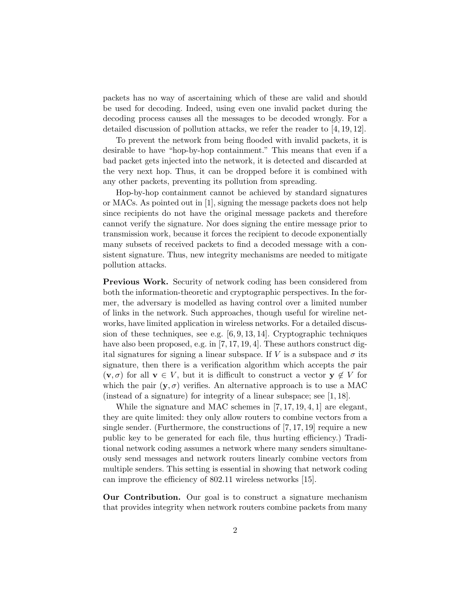packets has no way of ascertaining which of these are valid and should be used for decoding. Indeed, using even one invalid packet during the decoding process causes all the messages to be decoded wrongly. For a detailed discussion of pollution attacks, we refer the reader to [4, 19, 12].

To prevent the network from being flooded with invalid packets, it is desirable to have "hop-by-hop containment." This means that even if a bad packet gets injected into the network, it is detected and discarded at the very next hop. Thus, it can be dropped before it is combined with any other packets, preventing its pollution from spreading.

Hop-by-hop containment cannot be achieved by standard signatures or MACs. As pointed out in [1], signing the message packets does not help since recipients do not have the original message packets and therefore cannot verify the signature. Nor does signing the entire message prior to transmission work, because it forces the recipient to decode exponentially many subsets of received packets to find a decoded message with a consistent signature. Thus, new integrity mechanisms are needed to mitigate pollution attacks.

Previous Work. Security of network coding has been considered from both the information-theoretic and cryptographic perspectives. In the former, the adversary is modelled as having control over a limited number of links in the network. Such approaches, though useful for wireline networks, have limited application in wireless networks. For a detailed discussion of these techniques, see e.g. [6, 9, 13, 14]. Cryptographic techniques have also been proposed, e.g. in [7, 17, 19, 4]. These authors construct digital signatures for signing a linear subspace. If V is a subspace and  $\sigma$  its signature, then there is a verification algorithm which accepts the pair  $(v, \sigma)$  for all  $v \in V$ , but it is difficult to construct a vector  $y \notin V$  for which the pair  $(y, \sigma)$  verifies. An alternative approach is to use a MAC (instead of a signature) for integrity of a linear subspace; see [1, 18].

While the signature and MAC schemes in [7, 17, 19, 4, 1] are elegant, they are quite limited: they only allow routers to combine vectors from a single sender. (Furthermore, the constructions of [7, 17, 19] require a new public key to be generated for each file, thus hurting efficiency.) Traditional network coding assumes a network where many senders simultaneously send messages and network routers linearly combine vectors from multiple senders. This setting is essential in showing that network coding can improve the efficiency of 802.11 wireless networks [15].

Our Contribution. Our goal is to construct a signature mechanism that provides integrity when network routers combine packets from many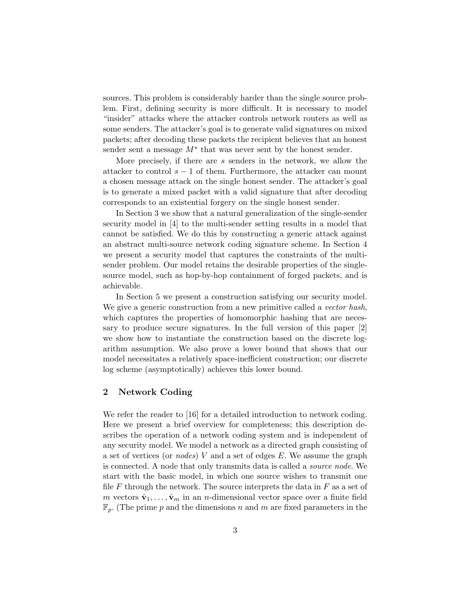sources. This problem is considerably harder than the single source problem. First, defining security is more difficult. It is necessary to model "insider" attacks where the attacker controls network routers as well as some senders. The attacker's goal is to generate valid signatures on mixed packets; after decoding these packets the recipient believes that an honest sender sent a message  $M^*$  that was never sent by the honest sender.

More precisely, if there are s senders in the network, we allow the attacker to control  $s - 1$  of them. Furthermore, the attacker can mount a chosen message attack on the single honest sender. The attacker's goal is to generate a mixed packet with a valid signature that after decoding corresponds to an existential forgery on the single honest sender.

In Section 3 we show that a natural generalization of the single-sender security model in [4] to the multi-sender setting results in a model that cannot be satisfied. We do this by constructing a generic attack against an abstract multi-source network coding signature scheme. In Section 4 we present a security model that captures the constraints of the multisender problem. Our model retains the desirable properties of the singlesource model, such as hop-by-hop containment of forged packets, and is achievable.

In Section 5 we present a construction satisfying our security model. We give a generic construction from a new primitive called a *vector hash*, which captures the properties of homomorphic hashing that are necessary to produce secure signatures. In the full version of this paper [2] we show how to instantiate the construction based on the discrete logarithm assumption. We also prove a lower bound that shows that our model necessitates a relatively space-inefficient construction; our discrete log scheme (asymptotically) achieves this lower bound.

# 2 Network Coding

We refer the reader to [16] for a detailed introduction to network coding. Here we present a brief overview for completeness; this description describes the operation of a network coding system and is independent of any security model. We model a network as a directed graph consisting of a set of vertices (or *nodes*) V and a set of edges  $E$ . We assume the graph is connected. A node that only transmits data is called a source node. We start with the basic model, in which one source wishes to transmit one file  $F$  through the network. The source interprets the data in  $F$  as a set of m vectors  $\hat{\mathbf{v}}_1, \ldots, \hat{\mathbf{v}}_m$  in an n-dimensional vector space over a finite field  $\mathbb{F}_p$ . (The prime p and the dimensions n and m are fixed parameters in the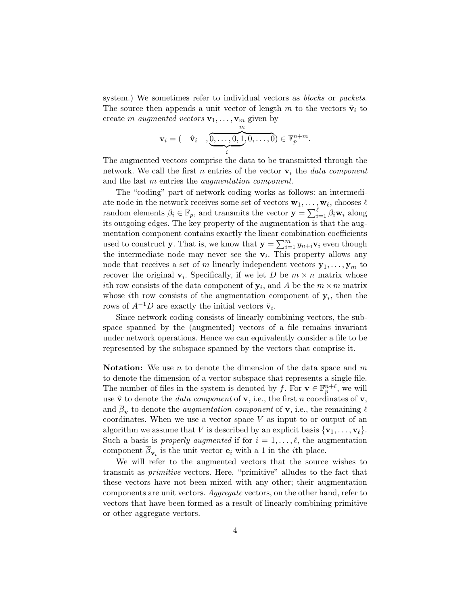system.) We sometimes refer to individual vectors as *blocks* or *packets*. The source then appends a unit vector of length m to the vectors  $\hat{\mathbf{v}}_i$  to create m augmented vectors  $\mathbf{v}_1, \ldots, \mathbf{v}_m$  given by

$$
\mathbf{v}_i = (-\hat{\mathbf{v}}_i, \dots, \underbrace{0, \dots, 0, 1}_{i}, 0, \dots, 0) \in \mathbb{F}_p^{n+m}.
$$

The augmented vectors comprise the data to be transmitted through the network. We call the first n entries of the vector  $v_i$  the *data component* and the last m entries the augmentation component.

The "coding" part of network coding works as follows: an intermediate node in the network receives some set of vectors  $\mathbf{w}_1, \ldots, \mathbf{w}_\ell$ , chooses  $\ell$ random elements  $\beta_i \in \mathbb{F}_p$ , and transmits the vector  $\mathbf{y} = \sum_{i=1}^{\ell} \beta_i \mathbf{w}_i$  along its outgoing edges. The key property of the augmentation is that the augmentation component contains exactly the linear combination coefficients used to construct **y**. That is, we know that  $\mathbf{y} = \sum_{i=1}^{m} y_{n+i} \mathbf{v}_i$  even though the intermediate node may never see the  $v_i$ . This property allows any node that receives a set of m linearly independent vectors  $y_1, \ldots, y_m$  to recover the original  $v_i$ . Specifically, if we let D be  $m \times n$  matrix whose *i*th row consists of the data component of  $y_i$ , and A be the  $m \times m$  matrix whose *i*th row consists of the augmentation component of  $y_i$ , then the rows of  $A^{-1}D$  are exactly the initial vectors  $\hat{\mathbf{v}}_i$ .

Since network coding consists of linearly combining vectors, the subspace spanned by the (augmented) vectors of a file remains invariant under network operations. Hence we can equivalently consider a file to be represented by the subspace spanned by the vectors that comprise it.

**Notation:** We use n to denote the dimension of the data space and  $m$ to denote the dimension of a vector subspace that represents a single file. The number of files in the system is denoted by f. For  $\mathbf{v} \in \mathbb{F}_p^{n+\ell}$ , we will use  $\hat{\mathbf{v}}$  to denote the *data component* of **v**, i.e., the first *n* coordinates of **v**, and  $\beta_{\mathbf{v}}$  to denote the *augmentation component* of  $\mathbf{v}$ , i.e., the remaining  $\ell$ coordinates. When we use a vector space  $V$  as input to or output of an algorithm we assume that V is described by an explicit basis  $\{v_1, \ldots, v_\ell\}.$ Such a basis is *properly augmented* if for  $i = 1, \ldots, \ell$ , the augmentation component  $\beta_{\mathbf{v}_i}$  is the unit vector  $\mathbf{e}_i$  with a 1 in the *i*th place.

We will refer to the augmented vectors that the source wishes to transmit as primitive vectors. Here, "primitive" alludes to the fact that these vectors have not been mixed with any other; their augmentation components are unit vectors. Aggregate vectors, on the other hand, refer to vectors that have been formed as a result of linearly combining primitive or other aggregate vectors.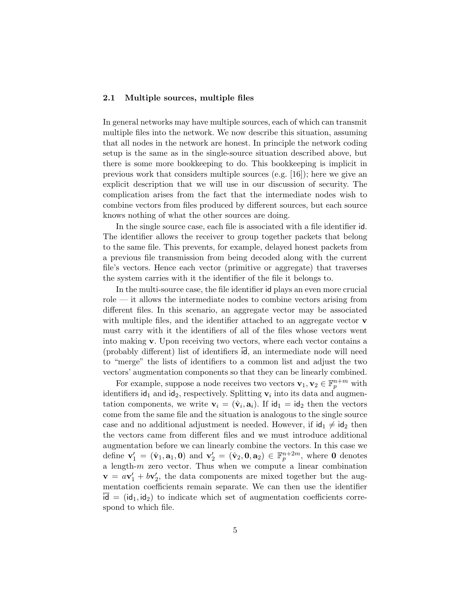#### 2.1 Multiple sources, multiple files

In general networks may have multiple sources, each of which can transmit multiple files into the network. We now describe this situation, assuming that all nodes in the network are honest. In principle the network coding setup is the same as in the single-source situation described above, but there is some more bookkeeping to do. This bookkeeping is implicit in previous work that considers multiple sources (e.g. [16]); here we give an explicit description that we will use in our discussion of security. The complication arises from the fact that the intermediate nodes wish to combine vectors from files produced by different sources, but each source knows nothing of what the other sources are doing.

In the single source case, each file is associated with a file identifier id. The identifier allows the receiver to group together packets that belong to the same file. This prevents, for example, delayed honest packets from a previous file transmission from being decoded along with the current file's vectors. Hence each vector (primitive or aggregate) that traverses the system carries with it the identifier of the file it belongs to.

In the multi-source case, the file identifier id plays an even more crucial role — it allows the intermediate nodes to combine vectors arising from different files. In this scenario, an aggregate vector may be associated with multiple files, and the identifier attached to an aggregate vector **v** must carry with it the identifiers of all of the files whose vectors went into making v. Upon receiving two vectors, where each vector contains a (probably different) list of identifiers id, an intermediate node will need to "merge" the lists of identifiers to a common list and adjust the two vectors' augmentation components so that they can be linearly combined.

For example, suppose a node receives two vectors  $\mathbf{v}_1, \mathbf{v}_2 \in \mathbb{F}_p^{n+m}$  with identifiers  $\mathsf{id}_1$  and  $\mathsf{id}_2$ , respectively. Splitting  $\mathbf{v}_i$  into its data and augmentation components, we write  $\mathbf{v}_i = (\hat{\mathbf{v}}_i, \mathbf{a}_i)$ . If  $\mathsf{id}_1 = \mathsf{id}_2$  then the vectors come from the same file and the situation is analogous to the single source case and no additional adjustment is needed. However, if  $\mathsf{id}_1 \neq \mathsf{id}_2$  then the vectors came from different files and we must introduce additional augmentation before we can linearly combine the vectors. In this case we define  $\mathbf{v}'_1 = (\hat{\mathbf{v}}_1, \mathbf{a}_1, \mathbf{0})$  and  $\mathbf{v}'_2 = (\hat{\mathbf{v}}_2, \mathbf{0}, \mathbf{a}_2) \in \mathbb{F}_p^{n+2m}$ , where **0** denotes a length-m zero vector. Thus when we compute a linear combination  $\mathbf{v} = a\mathbf{v}'_1 + b\mathbf{v}'_2$ , the data components are mixed together but the augmentation coefficients remain separate. We can then use the identifier  $id = (id_1, id_2)$  to indicate which set of augmentation coefficients correspond to which file.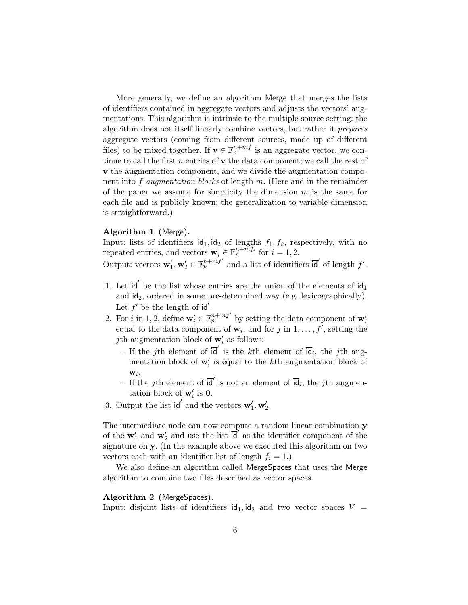More generally, we define an algorithm Merge that merges the lists of identifiers contained in aggregate vectors and adjusts the vectors' augmentations. This algorithm is intrinsic to the multiple-source setting: the algorithm does not itself linearly combine vectors, but rather it prepares aggregate vectors (coming from different sources, made up of different files) to be mixed together. If  $\mathbf{v} \in \mathbb{F}_p^{n+mf}$  is an aggregate vector, we continue to call the first  $n$  entries of  $\bf{v}$  the data component; we call the rest of v the augmentation component, and we divide the augmentation component into f augmentation blocks of length m. (Here and in the remainder of the paper we assume for simplicity the dimension  $m$  is the same for each file and is publicly known; the generalization to variable dimension is straightforward.)

#### Algorithm 1 (Merge).

Input: lists of identifiers  $\overline{id}_1$ ,  $\overline{id}_2$  of lengths  $f_1, f_2$ , respectively, with no repeated entries, and vectors  $\mathbf{w}_i \in \mathbb{F}_p^{n+mf_i}$  for  $i = 1, 2$ . Output: vectors  $\mathbf{w}'_1, \mathbf{w}'_2 \in \mathbb{F}_p^{n+m}$ <sup>*t'*</sup> and a list of identifiers  $\overline{\mathbf{d}}'$  of length  $f'$ .

- 1. Let  $\overline{id}'$  be the list whose entries are the union of the elements of  $\overline{id}_1$ and  $\overline{id}_2$ , ordered in some pre-determined way (e.g. lexicographically).
	- Let  $f'$  be the length of  $\overline{id}'$ .
- 2. For i in 1, 2, define  $\mathbf{w}'_i \in \mathbb{F}_p^{n+mf'}$  by setting the data component of  $\mathbf{w}'_i$ equal to the data component of  $\mathbf{w}_i$ , and for j in  $1, \ldots, f'$ , setting the *j*th augmentation block of  $\mathbf{w}'_i$  as follows:
	- If the jth element of  $\overline{d}'$  is the kth element of  $\overline{d}_i$ , the jth augmentation block of  $\mathbf{w}'_i$  is equal to the k<sup>th</sup> augmentation block of  $\mathbf{w}_i$ .
	- If the jth element of  $\overline{id}'$  is not an element of  $\overline{id}_i$ , the jth augmentation block of  $\mathbf{w}'_i$  is **0**.
- 3. Output the list  $\overline{id}'$  and the vectors  $w'_1, w'_2$ .

The intermediate node can now compute a random linear combination y of the  $w'_1$  and  $w'_2$  and use the list  $\overline{\mathsf{id}}'$  as the identifier component of the signature on y. (In the example above we executed this algorithm on two vectors each with an identifier list of length  $f_i = 1$ .)

We also define an algorithm called MergeSpaces that uses the Merge algorithm to combine two files described as vector spaces.

## Algorithm 2 (MergeSpaces).

Input: disjoint lists of identifiers  $\overline{id}_1$ ,  $\overline{id}_2$  and two vector spaces  $V =$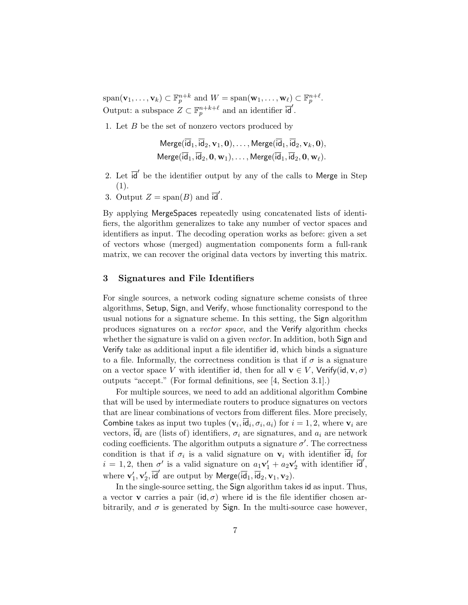$\text{span}(\mathbf{v}_1,\ldots,\mathbf{v}_k)\subset \mathbb{F}_p^{n+k}$  and  $W=\text{span}(\mathbf{w}_1,\ldots,\mathbf{w}_\ell)\subset \mathbb{F}_p^{n+\ell}.$ Output: a subspace  $Z \subset \mathbb{F}_p^{n+k+\ell}$  and an identifier  $\overline{id}'$ .

1. Let  $B$  be the set of nonzero vectors produced by

$$
\mathsf{Merge}(\mathsf{id}_1,\mathsf{id}_2,\mathbf{v}_1,\mathbf{0}),\ldots,\mathsf{Merge}(\mathsf{id}_1,\mathsf{id}_2,\mathbf{v}_k,\mathbf{0}),
$$
  

$$
\mathsf{Merge}(\overline{\mathsf{id}}_1,\overline{\mathsf{id}}_2,\mathbf{0},\mathbf{w}_1),\ldots,\mathsf{Merge}(\overline{\mathsf{id}}_1,\overline{\mathsf{id}}_2,\mathbf{0},\mathbf{w}_\ell).
$$

- 2. Let  $\overline{id}'$  be the identifier output by any of the calls to Merge in Step (1).
- 3. Output  $Z = \text{span}(B)$  and  $\overline{\mathsf{id}}'$ .

By applying MergeSpaces repeatedly using concatenated lists of identifiers, the algorithm generalizes to take any number of vector spaces and identifiers as input. The decoding operation works as before: given a set of vectors whose (merged) augmentation components form a full-rank matrix, we can recover the original data vectors by inverting this matrix.

## 3 Signatures and File Identifiers

For single sources, a network coding signature scheme consists of three algorithms, Setup, Sign, and Verify, whose functionality correspond to the usual notions for a signature scheme. In this setting, the Sign algorithm produces signatures on a vector space, and the Verify algorithm checks whether the signature is valid on a given *vector*. In addition, both Sign and Verify take as additional input a file identifier id, which binds a signature to a file. Informally, the correctness condition is that if  $\sigma$  is a signature on a vector space V with identifier id, then for all  $\mathbf{v} \in V$ , Verify(id,  $\mathbf{v}, \sigma$ ) outputs "accept." (For formal definitions, see [4, Section 3.1].)

For multiple sources, we need to add an additional algorithm Combine that will be used by intermediate routers to produce signatures on vectors that are linear combinations of vectors from different files. More precisely, Combine takes as input two tuples  $(\mathbf{v}_i, id_i, \sigma_i, a_i)$  for  $i = 1, 2$ , where  $\mathbf{v}_i$  are vectors,  $\overline{id}_i$  are (lists of) identifiers,  $\sigma_i$  are signatures, and  $a_i$  are network coding coefficients. The algorithm outputs a signature  $\sigma'$ . The correctness condition is that if  $\sigma_i$  is a valid signature on  $\mathbf{v}_i$  with identifier  $\mathsf{id}_i$  for  $i = 1, 2$ , then  $\sigma'$  is a valid signature on  $a_1\mathbf{v}'_1 + a_2\mathbf{v}'_2$  with identifier  $\overline{id}'$ , where  $\mathbf{v}'_1, \mathbf{v}'_2, \overline{\mathbf{id}}'$  are output by  $\mathsf{Merge}(\overline{\mathbf{id}}_1, \overline{\mathbf{id}}_2, \mathbf{v}_1, \mathbf{v}_2)$ .

In the single-source setting, the Sign algorithm takes id as input. Thus, a vector **v** carries a pair (id,  $\sigma$ ) where id is the file identifier chosen arbitrarily, and  $\sigma$  is generated by Sign. In the multi-source case however,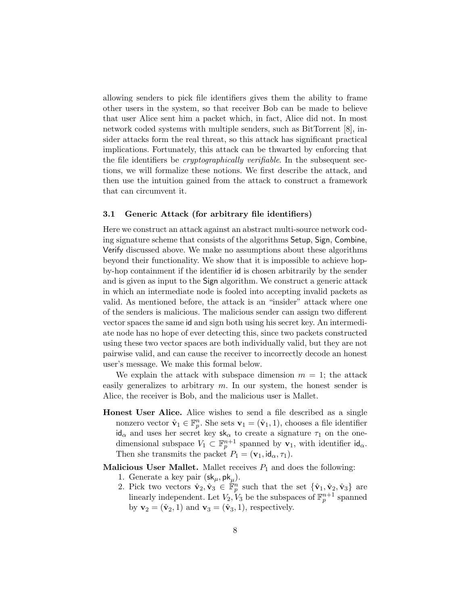allowing senders to pick file identifiers gives them the ability to frame other users in the system, so that receiver Bob can be made to believe that user Alice sent him a packet which, in fact, Alice did not. In most network coded systems with multiple senders, such as BitTorrent [8], insider attacks form the real threat, so this attack has significant practical implications. Fortunately, this attack can be thwarted by enforcing that the file identifiers be *cryptographically verifiable*. In the subsequent sections, we will formalize these notions. We first describe the attack, and then use the intuition gained from the attack to construct a framework that can circumvent it.

# 3.1 Generic Attack (for arbitrary file identifiers)

Here we construct an attack against an abstract multi-source network coding signature scheme that consists of the algorithms Setup, Sign, Combine, Verify discussed above. We make no assumptions about these algorithms beyond their functionality. We show that it is impossible to achieve hopby-hop containment if the identifier id is chosen arbitrarily by the sender and is given as input to the Sign algorithm. We construct a generic attack in which an intermediate node is fooled into accepting invalid packets as valid. As mentioned before, the attack is an "insider" attack where one of the senders is malicious. The malicious sender can assign two different vector spaces the same id and sign both using his secret key. An intermediate node has no hope of ever detecting this, since two packets constructed using these two vector spaces are both individually valid, but they are not pairwise valid, and can cause the receiver to incorrectly decode an honest user's message. We make this formal below.

We explain the attack with subspace dimension  $m = 1$ ; the attack easily generalizes to arbitrary  $m$ . In our system, the honest sender is Alice, the receiver is Bob, and the malicious user is Mallet.

- Honest User Alice. Alice wishes to send a file described as a single nonzero vector  $\hat{\mathbf{v}}_1 \in \mathbb{F}_p^n$ . She sets  $\mathbf{v}_1 = (\hat{\mathbf{v}}_1, 1)$ , chooses a file identifier  $id_{\alpha}$  and uses her secret key sk<sub>α</sub> to create a signature  $\tau_1$  on the onedimensional subspace  $V_1 \subset \mathbb{F}_p^{n+1}$  spanned by  $\mathbf{v}_1$ , with identifier  $\mathsf{id}_{\alpha}$ . Then she transmits the packet  $P_1 = (\mathbf{v}_1, \mathrm{id}_{\alpha}, \tau_1)$ .
- **Malicious User Mallet.** Mallet receives  $P_1$  and does the following:
	- 1. Generate a key pair  $(\mathsf{sk}_{\mu}, \mathsf{pk}_{\mu}).$
	- 2. Pick two vectors  $\hat{\mathbf{v}}_2, \hat{\mathbf{v}}_3 \in \mathbb{F}_p^n$  such that the set  $\{\hat{\mathbf{v}}_1, \hat{\mathbf{v}}_2, \hat{\mathbf{v}}_3\}$  are linearly independent. Let  $V_2, V_3$  be the subspaces of  $\mathbb{F}_p^{n+1}$  spanned by  $\mathbf{v}_2 = (\hat{\mathbf{v}}_2, 1)$  and  $\mathbf{v}_3 = (\hat{\mathbf{v}}_3, 1)$ , respectively.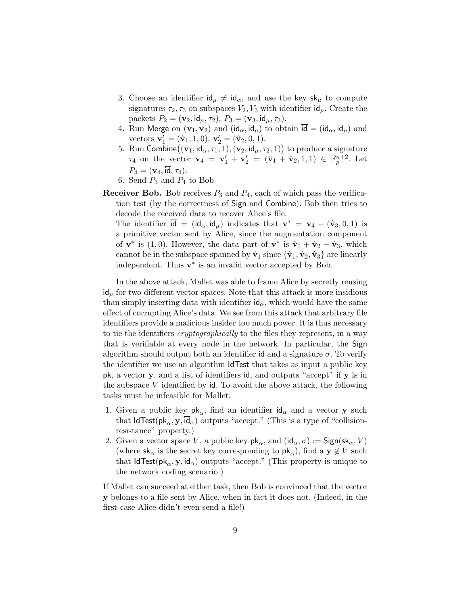- 3. Choose an identifier  $\mathsf{id}_{\mu} \neq \mathsf{id}_{\alpha}$ , and use the key sk<sub> $\mu$ </sub> to compute signatures  $\tau_2$ ,  $\tau_3$  on subspaces  $V_2$ ,  $V_3$  with identifier  $\mathsf{id}_{\mu}$ . Create the packets  $P_2 = (\mathbf{v}_2, \mathsf{id}_{\mu}, \tau_2), P_3 = (\mathbf{v}_3, \mathsf{id}_{\mu}, \tau_3).$
- 4. Run Merge on  $(\mathbf{v}_1, \mathbf{v}_2)$  and  $(\mathsf{id}_{\alpha}, \mathsf{id}_{\mu})$  to obtain  $\overline{\mathsf{id}} = (\mathsf{id}_{\alpha}, \mathsf{id}_{\mu})$  and vectors  $\mathbf{v}'_1 = (\hat{\mathbf{v}}_1, 1, 0), \mathbf{v}'_2 = (\hat{\mathbf{v}}_2, 0, 1).$
- 5. Run Combine $((\mathbf{v}_1, \mathsf{id}_{\alpha}, \tau_1, 1), (\mathbf{v}_2, \mathsf{id}_{\mu}, \tau_2, 1))$  to produce a signature  $\tau_4$  on the vector  $\mathbf{v}_4 = \mathbf{v}'_1 + \mathbf{v}'_2 = (\hat{\mathbf{v}}_1 + \hat{\mathbf{v}}_2, 1, 1) \in \mathbb{F}_p^{n+2}$ . Let  $P_4 = (\mathbf{v}_4, \overline{\mathbf{id}}, \tau_4).$
- 6. Send  $P_3$  and  $P_4$  to Bob.
- **Receiver Bob.** Bob receives  $P_3$  and  $P_4$ , each of which pass the verification test (by the correctness of Sign and Combine). Bob then tries to decode the received data to recover Alice's file.

The identifier  $\overline{id} = (id_{\alpha}, id_{\mu})$  indicates that  $\mathbf{v}^* = \mathbf{v}_4 - (\hat{\mathbf{v}}_3, 0, 1)$  is a primitive vector sent by Alice, since the augmentation component of  $\mathbf{v}^*$  is (1,0). However, the data part of  $\mathbf{v}^*$  is  $\hat{\mathbf{v}}_1 + \hat{\mathbf{v}}_2 - \hat{\mathbf{v}}_3$ , which cannot be in the subspace spanned by  $\hat{\mathbf{v}}_1$  since  $\{\hat{\mathbf{v}}_1, \hat{\mathbf{v}}_2, \hat{\mathbf{v}}_3\}$  are linearly independent. Thus  $\mathbf{v}^*$  is an invalid vector accepted by Bob.

In the above attack, Mallet was able to frame Alice by secretly reusing  $id_{\mu}$  for two different vector spaces. Note that this attack is more insidious than simply inserting data with identifier  $\mathsf{id}_{\alpha}$ , which would have the same effect of corrupting Alice's data. We see from this attack that arbitrary file identifiers provide a malicious insider too much power. It is thus necessary to tie the identifiers cryptographically to the files they represent, in a way that is verifiable at every node in the network. In particular, the Sign algorithm should output both an identifier id and a signature  $\sigma$ . To verify the identifier we use an algorithm IdTest that takes as input a public key  $pk$ , a vector y, and a list of identifiers  $\overline{id}$ , and outputs "accept" if y is in the subspace  $V$  identified by id. To avoid the above attack, the following tasks must be infeasible for Mallet:

- 1. Given a public key  $\mathsf{pk}_{\alpha}$ , find an identifier  $\mathsf{id}_{\alpha}$  and a vector y such that  $\mathsf{Id}\mathsf{Test}(\mathsf{pk}_\alpha,\mathbf{y}, \overline{\mathsf{id}}_\alpha)$  outputs "accept." (This is a type of "collisionresistance" property.)
- 2. Given a vector space V, a public key  $\mathsf{pk}_{\alpha}$ , and  $(\mathsf{id}_{\alpha}, \sigma) := \mathsf{Sign}(\mathsf{sk}_{\alpha}, V)$ (where  $\mathsf{sk}_{\alpha}$  is the secret key corresponding to  $\mathsf{pk}_{\alpha}$ ), find a  $\mathbf{y} \notin V$  such that  $\mathsf{IdTest}(\mathsf{pk}_{\alpha}, \mathbf{y}, \mathsf{id}_{\alpha})$  outputs "accept." (This property is unique to the network coding scenario.)

If Mallet can succeed at either task, then Bob is convinced that the vector y belongs to a file sent by Alice, when in fact it does not. (Indeed, in the first case Alice didn't even send a file!)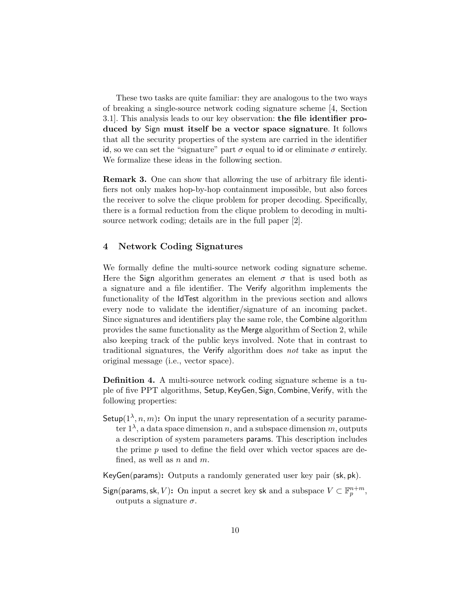These two tasks are quite familiar: they are analogous to the two ways of breaking a single-source network coding signature scheme [4, Section 3.1]. This analysis leads to our key observation: the file identifier produced by Sign must itself be a vector space signature. It follows that all the security properties of the system are carried in the identifier id, so we can set the "signature" part  $\sigma$  equal to id or eliminate  $\sigma$  entirely. We formalize these ideas in the following section.

Remark 3. One can show that allowing the use of arbitrary file identifiers not only makes hop-by-hop containment impossible, but also forces the receiver to solve the clique problem for proper decoding. Specifically, there is a formal reduction from the clique problem to decoding in multisource network coding; details are in the full paper [2].

# 4 Network Coding Signatures

We formally define the multi-source network coding signature scheme. Here the Sign algorithm generates an element  $\sigma$  that is used both as a signature and a file identifier. The Verify algorithm implements the functionality of the IdTest algorithm in the previous section and allows every node to validate the identifier/signature of an incoming packet. Since signatures and identifiers play the same role, the Combine algorithm provides the same functionality as the Merge algorithm of Section 2, while also keeping track of the public keys involved. Note that in contrast to traditional signatures, the Verify algorithm does not take as input the original message (i.e., vector space).

Definition 4. A multi-source network coding signature scheme is a tuple of five PPT algorithms, Setup, KeyGen, Sign, Combine, Verify, with the following properties:

- Setup( $1^{\lambda}, n, m$ ): On input the unary representation of a security parameter  $1^{\lambda}$ , a data space dimension n, and a subspace dimension m, outputs a description of system parameters params. This description includes the prime  $p$  used to define the field over which vector spaces are defined, as well as  $n$  and  $m$ .
- KeyGen(params): Outputs a randomly generated user key pair (sk, pk).
- Sign(params, sk, V): On input a secret key sk and a subspace  $V \subset \mathbb{F}_p^{n+m}$ , outputs a signature  $\sigma$ .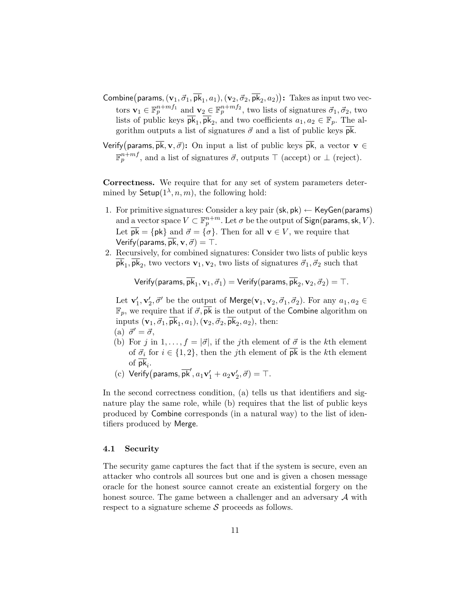- Combine $(\mathsf{params}, (\mathbf{v}_1, \vec{\sigma}_1, \overline{\mathsf{pk}}_1, a_1), (\mathbf{v}_2, \vec{\sigma}_2, \overline{\mathsf{pk}}_2, a_2))$ : Takes as input two vectors  $\mathbf{v}_1 \in \mathbb{F}_p^{n+mf_1}$  and  $\mathbf{v}_2 \in \mathbb{F}_p^{n+mf_2}$ , two lists of signatures  $\vec{\sigma}_1, \vec{\sigma}_2$ , two lists of public keys  $\overline{\mathsf{pk}}_1$ ,  $\overline{\mathsf{pk}}_2$ , and two coefficients  $a_1, a_2 \in \mathbb{F}_p$ . The algorithm outputs a list of signatures  $\vec{\sigma}$  and a list of public keys  $\overline{pk}$ .
- Verify (params,  $\overline{pk}, \mathbf{v}, \vec{\sigma}$ ): On input a list of public keys  $\overline{pk}$ , a vector  $\mathbf{v} \in$  $\mathbb{F}_p^{n+mf}$ , and a list of signatures  $\vec{\sigma}$ , outputs  $\top$  (accept) or  $\bot$  (reject).

Correctness. We require that for any set of system parameters determined by  $\mathsf{Setup}(1^{\lambda},n,m)$ , the following hold:

- 1. For primitive signatures: Consider a key pair  $(\mathsf{sk}, \mathsf{pk}) \leftarrow \mathsf{KeyGen}(\mathsf{params})$ and a vector space  $V \subset \mathbb{F}_p^{n+m}$ . Let  $\sigma$  be the output of Sign(params, sk, V). Let  $\overline{pk} = \{pk\}$  and  $\vec{\sigma} = \{\sigma\}$ . Then for all  $\mathbf{v} \in V$ , we require that Verify(params, pk,  $\mathbf{v}, \vec{\sigma}$ ) = T.
- 2. Recursively, for combined signatures: Consider two lists of public keys  $\n **pk**<sub>1</sub>, **pk**<sub>2</sub>, two vectors **v**<sub>1</sub>, **v**<sub>2</sub>, two lists of signatures  $\vec{\sigma}_1$ ,  $\vec{\sigma}_2$  such that$

 ${\sf Verify}({\sf params},{\sf pk}_1,{\bf v}_1,\vec \sigma_1)={\sf Verify}({\sf params},{\sf pk}_2,{\bf v}_2,\vec \sigma_2)={\top}.$ 

Let  $\mathbf{v}'_1, \mathbf{v}'_2, \vec{\sigma}'$  be the output of Merge $(\mathbf{v}_1, \mathbf{v}_2, \vec{\sigma}_1, \vec{\sigma}_2)$ . For any  $a_1, a_2 \in$  $\mathbb{F}_p$ , we require that if  $\vec{\sigma}$ ,  $\overline{pk}$  is the output of the Combine algorithm on inputs  $(\mathbf{v}_1, \vec{\sigma}_1, \mathsf{pk}_1, a_1), (\mathbf{v}_2, \vec{\sigma}_2, \mathsf{pk}_2, a_2)$ , then:

- (a)  $\vec{\sigma}' = \vec{\sigma}$ ,
- (b) For j in  $1, \ldots, f = |\vec{\sigma}|$ , if the jth element of  $\vec{\sigma}$  is the kth element of  $\vec{\sigma}_i$  for  $i \in \{1,2\}$ , then the *j*th element of  $\overline{pk}$  is the *k*th element of  $\mathsf{pk}_{i}$ .
- (c) Verify (params,  $\overline{pk}'$ ,  $a_1\mathbf{v}'_1 + a_2\mathbf{v}'_2$ ,  $\vec{\sigma}$ ) = T.

In the second correctness condition, (a) tells us that identifiers and signature play the same role, while (b) requires that the list of public keys produced by Combine corresponds (in a natural way) to the list of identifiers produced by Merge.

# 4.1 Security

The security game captures the fact that if the system is secure, even an attacker who controls all sources but one and is given a chosen message oracle for the honest source cannot create an existential forgery on the honest source. The game between a challenger and an adversary  $\mathcal A$  with respect to a signature scheme  $S$  proceeds as follows.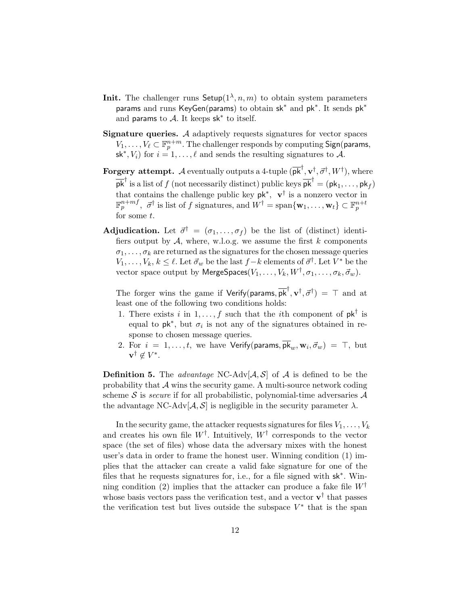- **Init.** The challenger runs Setup $(1^{\lambda}, n, m)$  to obtain system parameters params and runs KeyGen(params) to obtain sk<sup>\*</sup> and pk<sup>\*</sup>. It sends pk<sup>\*</sup> and params to  $A$ . It keeps sk<sup>\*</sup> to itself.
- Signature queries. A adaptively requests signatures for vector spaces  $V_1, \ldots, V_\ell \subset \mathbb{F}_p^{n+m}$ . The challenger responds by computing Sign(params, sk<sup>\*</sup>,  $V_i$ ) for  $i = 1, ..., \ell$  and sends the resulting signatures to A.
- Forgery attempt. A eventually outputs a 4-tuple  $(\overline{\mathsf{pk}}^\dagger, \mathbf{v}^\dagger, \vec{\sigma}^\dagger, W^\dagger),$  where  $\overline{pk}^{\dagger}$  is a list of f (not necessarily distinct) public keys  $\overline{pk}^{\dagger} = (pk_1, \ldots, pk_f)$ that contains the challenge public key  $pk^*$ ,  $\mathbf{v}^{\dagger}$  is a nonzero vector in  $\mathbb{F}_p^{n+mf}, \ \vec{\sigma}^{\dagger}$  is list of f signatures, and  $W^{\dagger} = \text{span}\{\mathbf{w}_1,\ldots,\mathbf{w}_t\} \subset \mathbb{F}_p^{n+t}$ for some t.
- **Adjudication.** Let  $\vec{\sigma}^{\dagger} = (\sigma_1, \ldots, \sigma_f)$  be the list of (distinct) identifiers output by  $A$ , where, w.l.o.g. we assume the first k components  $\sigma_1, \ldots, \sigma_k$  are returned as the signatures for the chosen message queries  $V_1, \ldots, V_k, k \leq \ell$ . Let  $\vec{\sigma}_w$  be the last  $f-k$  elements of  $\vec{\sigma}^{\dagger}$ . Let  $V^*$  be the vector space output by  $\mathsf{MergeSpaces}(V_1,\ldots,V_k,W^\dagger,\sigma_1,\ldots,\sigma_k,\vec{\sigma}_w).$

The forger wins the game if Verify(params,  $\overline{pk}^{\dagger}$ ,  $\mathbf{v}^{\dagger}$ ,  $\overline{\mathbf{v}}^{\dagger}$ ) =  $\top$  and at least one of the following two conditions holds:

- 1. There exists i in  $1, \ldots, f$  such that the *i*th component of  $pk^{\dagger}$  is equal to  $pk^*$ , but  $\sigma_i$  is not any of the signatures obtained in response to chosen message queries.
- 2. For  $i = 1, ..., t$ , we have Verify(params,  $\overline{pk}_w, w_i, \vec{\sigma}_w) = \top$ , but  $\mathbf{v}^\dagger\not\in V^*.$

**Definition 5.** The *advantage* NC-Adv $[\mathcal{A}, \mathcal{S}]$  of  $\mathcal{A}$  is defined to be the probability that  $A$  wins the security game. A multi-source network coding scheme S is *secure* if for all probabilistic, polynomial-time adversaries  $A$ the advantage NC-Adv $[\mathcal{A}, \mathcal{S}]$  is negligible in the security parameter  $\lambda$ .

In the security game, the attacker requests signatures for files  $V_1, \ldots, V_k$ and creates his own file  $W^{\dagger}$ . Intuitively,  $W^{\dagger}$  corresponds to the vector space (the set of files) whose data the adversary mixes with the honest user's data in order to frame the honest user. Winning condition (1) implies that the attacker can create a valid fake signature for one of the files that he requests signatures for, i.e., for a file signed with  $sk^*$ . Winning condition (2) implies that the attacker can produce a fake file  $W^{\dagger}$ whose basis vectors pass the verification test, and a vector  $\mathbf{v}^{\dagger}$  that passes the verification test but lives outside the subspace  $V^*$  that is the span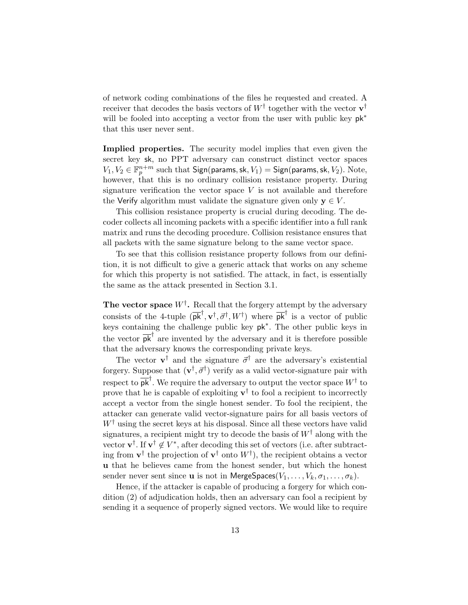of network coding combinations of the files he requested and created. A receiver that decodes the basis vectors of  $W^{\dagger}$  together with the vector  $\mathbf{v}^{\dagger}$ will be fooled into accepting a vector from the user with public key pk<sup>∗</sup> that this user never sent.

Implied properties. The security model implies that even given the secret key sk, no PPT adversary can construct distinct vector spaces  $V_1, V_2 \in \mathbb{F}_p^{n+m}$  such that  $\mathsf{Sign}(\mathsf{params}, \mathsf{sk}, V_1) = \mathsf{Sign}(\mathsf{params}, \mathsf{sk}, V_2)$ . Note, however, that this is no ordinary collision resistance property. During signature verification the vector space  $V$  is not available and therefore the Verify algorithm must validate the signature given only  $y \in V$ .

This collision resistance property is crucial during decoding. The decoder collects all incoming packets with a specific identifier into a full rank matrix and runs the decoding procedure. Collision resistance ensures that all packets with the same signature belong to the same vector space.

To see that this collision resistance property follows from our definition, it is not difficult to give a generic attack that works on any scheme for which this property is not satisfied. The attack, in fact, is essentially the same as the attack presented in Section 3.1.

The vector space  $W^{\dagger}$ . Recall that the forgery attempt by the adversary consists of the 4-tuple  $(\overline{\mathsf{pk}}^{\dagger}, \mathbf{v}^{\dagger}, \overline{\sigma}^{\dagger}, W^{\dagger})$  where  $\overline{\mathsf{pk}}^{\dagger}$  is a vector of public keys containing the challenge public key pk<sup>∗</sup> . The other public keys in the vector  $\overline{pk}^{\dagger}$  are invented by the adversary and it is therefore possible that the adversary knows the corresponding private keys.

The vector  $\mathbf{v}^{\dagger}$  and the signature  $\vec{\sigma}^{\dagger}$  are the adversary's existential forgery. Suppose that  $(v^{\dagger}, \vec{\sigma}^{\dagger})$  verify as a valid vector-signature pair with respect to  $\overline{pk}^{\dagger}$ . We require the adversary to output the vector space  $W^{\dagger}$  to prove that he is capable of exploiting  $\mathbf{v}^{\dagger}$  to fool a recipient to incorrectly accept a vector from the single honest sender. To fool the recipient, the attacker can generate valid vector-signature pairs for all basis vectors of  $W^{\dagger}$  using the secret keys at his disposal. Since all these vectors have valid signatures, a recipient might try to decode the basis of  $W^{\dagger}$  along with the vector  $\mathbf{v}^{\dagger}$ . If  $\mathbf{v}^{\dagger} \notin V^*$ , after decoding this set of vectors (i.e. after subtracting from  $\mathbf{v}^{\dagger}$  the projection of  $\mathbf{v}^{\dagger}$  onto  $W^{\dagger}$ ), the recipient obtains a vector u that he believes came from the honest sender, but which the honest sender never sent since **u** is not in MergeSpaces( $V_1, \ldots, V_k, \sigma_1, \ldots, \sigma_k$ ).

Hence, if the attacker is capable of producing a forgery for which condition (2) of adjudication holds, then an adversary can fool a recipient by sending it a sequence of properly signed vectors. We would like to require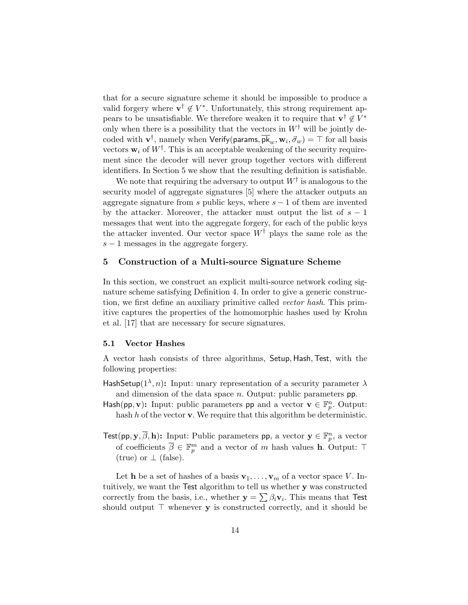that for a secure signature scheme it should be impossible to produce a valid forgery where  $\mathbf{v}^{\dagger} \notin V^*$ . Unfortunately, this strong requirement appears to be unsatisfiable. We therefore weaken it to require that  $\mathbf{v}^{\dagger} \notin V^*$ only when there is a possibility that the vectors in  $W^{\dagger}$  will be jointly decoded with  $\mathbf{v}^\dagger$ , namely when Verify(params,  $\overline{\mathsf{pk}}_w, \mathbf{w}_i, \vec{\sigma}_w) = \top$  for all basis vectors  $\mathbf{w}_i$  of  $W^{\dagger}$ . This is an acceptable weakening of the security requirement since the decoder will never group together vectors with different identifiers. In Section 5 we show that the resulting definition is satisfiable.

We note that requiring the adversary to output  $W^{\dagger}$  is analogous to the security model of aggregate signatures [5] where the attacker outputs an aggregate signature from s public keys, where  $s - 1$  of them are invented by the attacker. Moreover, the attacker must output the list of  $s - 1$ messages that went into the aggregate forgery, for each of the public keys the attacker invented. Our vector space  $W^{\dagger}$  plays the same role as the  $s - 1$  messages in the aggregate forgery.

## 5 Construction of a Multi-source Signature Scheme

In this section, we construct an explicit multi-source network coding signature scheme satisfying Definition 4. In order to give a generic construction, we first define an auxiliary primitive called vector hash. This primitive captures the properties of the homomorphic hashes used by Krohn et al. [17] that are necessary for secure signatures.

#### 5.1 Vector Hashes

A vector hash consists of three algorithms, Setup, Hash,Test, with the following properties:

- HashSetup( $1^{\lambda}, n$ ): Input: unary representation of a security parameter  $\lambda$ and dimension of the data space  $n$ . Output: public parameters  $pp$ .
- Hash(pp, v): Input: public parameters pp and a vector  $\mathbf{v} \in \mathbb{F}_p^n$ . Output: hash  $h$  of the vector **v**. We require that this algorithm be deterministic.
- Test(pp,  $\mathbf{y}, \overline{\beta}, \mathbf{h}$ ): Input: Public parameters pp, a vector  $\mathbf{y} \in \mathbb{F}_p^n$ , a vector of coefficients  $\overline{\beta} \in \mathbb{F}_p^m$  and a vector of m hash values **h**. Output:  $\top$ (true) or  $\perp$  (false).

Let **h** be a set of hashes of a basis  $\mathbf{v}_1, \ldots, \mathbf{v}_m$  of a vector space V. Intuitively, we want the Test algorithm to tell us whether y was constructed correctly from the basis, i.e., whether  $\mathbf{y} = \sum \beta_i \mathbf{v}_i$ . This means that Test should output  $\top$  whenever **y** is constructed correctly, and it should be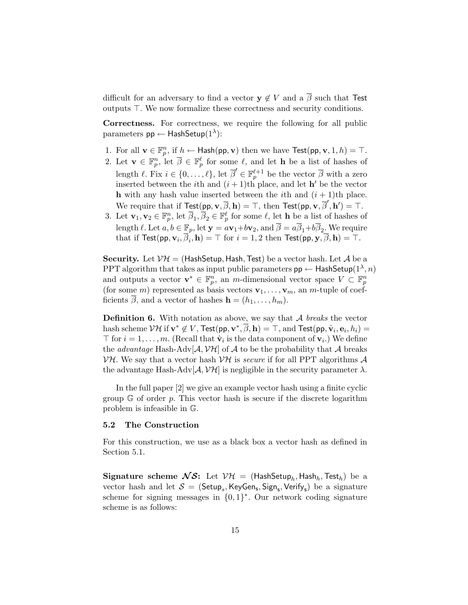difficult for an adversary to find a vector  $y \notin V$  and a  $\overline{\beta}$  such that Test outputs  $\top$ . We now formalize these correctness and security conditions.

Correctness. For correctness, we require the following for all public  $\text{parameters } \mathsf{pp} \leftarrow \mathsf{HashSetup}(1^\lambda)$ :

- 1. For all  $\mathbf{v} \in \mathbb{F}_p^n$ , if  $h \leftarrow$  Hash(pp,  $\mathbf{v}$ ) then we have Test(pp,  $\mathbf{v}, 1, h$ ) = T.
- 2. Let  $\mathbf{v} \in \mathbb{F}_p^n$ , let  $\overline{\beta} \in \mathbb{F}_p^\ell$  for some  $\ell$ , and let **h** be a list of hashes of length  $\ell$ . Fix  $i \in \{0, \ldots, \ell\}$ , let  $\overline{\beta}' \in \mathbb{F}_p^{\ell+1}$  be the vector  $\overline{\beta}$  with a zero inserted between the *i*th and  $(i + 1)$ th place, and let **h'** be the vector **h** with any hash value inserted between the *i*th and  $(i + 1)$ th place. We require that if  $\textsf{Test}(pp, \mathbf{v}, \overline{\beta}, \mathbf{h}) = \top$ , then  $\textsf{Test}(pp, \mathbf{v}, \overline{\beta}', \mathbf{h}') = \top$ .
- 3. Let  $\mathbf{v}_1, \mathbf{v}_2 \in \mathbb{F}_p^n$ , let  $\overline{\beta}_1, \overline{\beta}_2 \in \mathbb{F}_p^\ell$  for some  $\ell$ , let **h** be a list of hashes of length  $\ell$ . Let  $a, b \in \mathbb{F}_p$ , let  $y = a\mathbf{v}_1 + b\mathbf{v}_2$ , and  $\overline{\beta} = a\overline{\beta}_1 + b\overline{\beta}_2$ . We require that if  $\mathsf{Test}(\mathsf{pp}, \mathbf{v}_i, \beta_i, \mathbf{h}) = \top$  for  $i = 1, 2$  then  $\mathsf{Test}(\mathsf{pp}, \mathbf{y}, \beta, \mathbf{h}) = \top$ .

**Security.** Let  $V\mathcal{H} =$  (HashSetup, Hash, Test) be a vector hash. Let A be a PPT algorithm that takes as input public parameters  $pp \leftarrow$  HashSetup $(1^{\lambda}, n)$ and outputs a vector  $\mathbf{v}^* \in \mathbb{F}_p^n$ , an *m*-dimensional vector space  $V \subset \mathbb{F}_p^n$ (for some m) represented as basis vectors  $\mathbf{v}_1, \ldots, \mathbf{v}_m$ , an m-tuple of coefficients  $\beta$ , and a vector of hashes  $\mathbf{h} = (h_1, \ldots, h_m)$ .

**Definition 6.** With notation as above, we say that  $\mathcal A$  breaks the vector hash scheme  $\mathcal{V}\mathcal{H}$  if  $\mathbf{v}^*\not\in V,$  Test $(\mathsf{pp},\mathbf{v}^*,\overline{\beta},\mathbf{h})=\top,$  and Test $(\mathsf{pp},\hat{\mathbf{v}}_i,\mathbf{e}_i,h_i)=$  $\top$  for  $i = 1, \ldots, m$ . (Recall that  $\hat{\mathbf{v}}_i$  is the data component of  $\mathbf{v}_i$ .) We define the *advantage* Hash-Adv $[\mathcal{A}, \mathcal{V}\mathcal{H}]$  of  $\mathcal A$  to be the probability that  $\mathcal A$  breaks  $V\mathcal{H}$ . We say that a vector hash  $V\mathcal{H}$  is secure if for all PPT algorithms  $\mathcal{A}$ the advantage Hash-Adv $[\mathcal{A}, \mathcal{V}\mathcal{H}]$  is negligible in the security parameter  $\lambda$ .

In the full paper [2] we give an example vector hash using a finite cyclic group  $G$  of order p. This vector hash is secure if the discrete logarithm problem is infeasible in G.

#### 5.2 The Construction

For this construction, we use as a black box a vector hash as defined in Section 5.1.

 ${\bf Signature\;\;scheme\;\; \mathcal{NS}\rm: \;\; Let \;\mathcal{VH}\;=\; (HashSetup_h,Hash_h, Test_h)\;\; be\;\; a}$ vector hash and let  $\mathcal{S} = (\mathsf{Setup}_s, \mathsf{KeyGen}_s, \mathsf{Sign}_s, \mathsf{Verify}_s)$  be a signature scheme for signing messages in  $\{0,1\}^*$ . Our network coding signature scheme is as follows: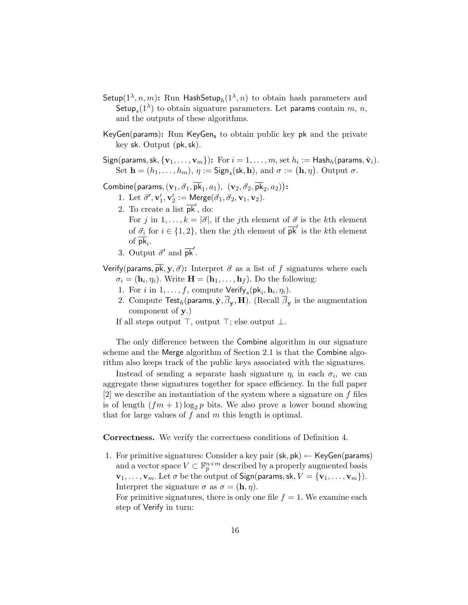- $\mathsf{Setup}(1^\lambda,n,m)$ : Run Hash $\mathsf{Setup}_h(1^\lambda,n)$  to obtain hash parameters and Setup<sub>s</sub>(1<sup> $\lambda$ </sup>) to obtain signature parameters. Let params contain m, n, and the outputs of these algorithms.
- KeyGen(params): Run KeyGen<sub>s</sub> to obtain public key pk and the private key sk. Output (pk,sk).
- $\mathsf{Sign}(\mathsf{params}, \mathsf{sk}, \{\mathbf{v}_1, \dots, \mathbf{v}_m\})\text{: } \text{ For } i = 1, \dots, m, \text{ set } h_i := \mathsf{Hash}_h(\mathsf{params}, \hat{\mathbf{v}}_i).$ Set  $\mathbf{h} = (h_1, \ldots, h_m)$ ,  $\eta := \mathsf{Sign}_s(\mathsf{sk}, \mathbf{h})$ , and  $\sigma := (\mathbf{h}, \eta)$ . Output  $\sigma$ .

 $\mathsf{Combine}\big(\mathsf{params}, (\mathbf{v}_1, \vec{\sigma}_1, \overline{\mathsf{pk}}_1, a_1), \ (\mathbf{v}_2, \vec{\sigma}_2, \overline{\mathsf{pk}}_2, a_2)\big)$ :

- 1. Let  $\vec{\sigma}', \mathbf{v}'_1, \mathbf{v}'_2 := \text{Merge}(\vec{\sigma}_1, \vec{\sigma}_2, \mathbf{v}_1, \mathbf{v}_2).$
- 2. To create a list  $\overline{pk}'$ , do:
	- For j in  $1, \ldots, k = |\vec{\sigma}|$ , if the jth element of  $\vec{\sigma}$  is the kth element of  $\vec{\sigma}_i$  for  $i \in \{1,2\}$ , then the *j*th element of  $\overline{pk}'$  is the *k*th element of  $\mathsf{pk}_{i}$ .
- 3. Output  $\vec{\sigma}'$  and  $\vec{pk}'$ .

Verify(params,  $\overline{pk}, y, \overline{\sigma}$ ): Interpret  $\overline{\sigma}$  as a list of f signatures where each  $\sigma_i = (\mathbf{h}_i, \eta_i)$ . Write  $\mathbf{H} = (\mathbf{h}_1, \dots, \mathbf{h}_f)$ . Do the following:

- 1. For *i* in  $1, \ldots, f$ , compute  $Verify_s(\mathsf{pk}_i, \mathbf{h}_i, \eta_i)$ .
- 2. Compute  $\mathsf{Test}_h(\mathsf{params}, \hat{\mathbf{y}}, \beta_\mathbf{y}, \mathbf{H}).$   $(\text{Recall} \; \beta_\mathbf{y} \; \text{is the augmentation})$ component of y.)
- If all steps output  $\top$ , output  $\top$ ; else output  $\bot$ .

The only difference between the Combine algorithm in our signature scheme and the Merge algorithm of Section 2.1 is that the Combine algorithm also keeps track of the public keys associated with the signatures.

Instead of sending a separate hash signature  $\eta_i$  in each  $\sigma_i$ , we can aggregate these signatures together for space efficiency. In the full paper [2] we describe an instantiation of the system where a signature on f files is of length  $(fm + 1) \log_2 p$  bits. We also prove a lower bound showing that for large values of  $f$  and  $m$  this length is optimal.

Correctness. We verify the correctness conditions of Definition 4.

1. For primitive signatures: Consider a key pair  $(\mathsf{sk}, \mathsf{pk}) \leftarrow \mathsf{KeyGen}(\mathsf{params})$ and a vector space  $V \subset \mathbb{F}_p^{n+m}$  described by a properly augmented basis  $\mathbf{v}_1, \ldots, \mathbf{v}_m$ . Let  $\sigma$  be the output of Sign(params, sk,  $V = {\mathbf{v}_1, \ldots, \mathbf{v}_m}$ ). Interpret the signature  $\sigma$  as  $\sigma = (\mathbf{h}, \eta)$ .

For primitive signatures, there is only one file  $f = 1$ . We examine each step of Verify in turn: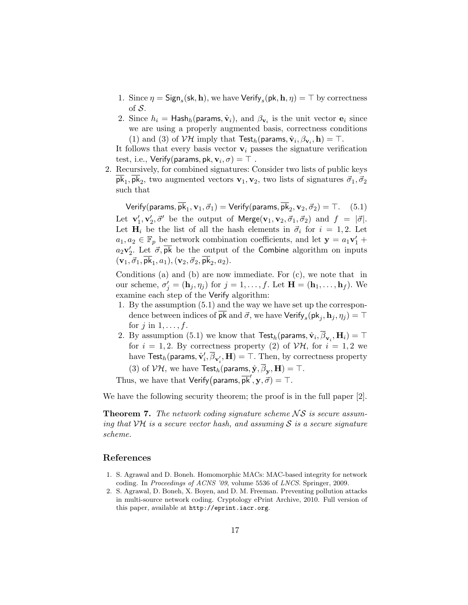- 1. Since  $\eta = \mathsf{Sign}_s(\mathsf{sk}, \mathbf{h})$ , we have  $\mathsf{Verify}_s(\mathsf{pk}, \mathbf{h}, \eta) = \top$  by correctness of  $S$ .
- 2. Since  $h_i = \mathsf{Hash}_h(\mathsf{params}, \hat{\mathbf{v}}_i)$ , and  $\beta_{\mathbf{v}_i}$  is the unit vector  $\mathbf{e}_i$  since we are using a properly augmented basis, correctness conditions (1) and (3) of  $V\mathcal{H}$  imply that  $\mathsf{Test}_h(\mathsf{params}, \hat{\mathbf{v}}_i, \beta_{\mathbf{v}_i}, \mathbf{h}) = \top$ .

It follows that every basis vector  $v_i$  passes the signature verification test, i.e., Verify(params, pk,  $\mathbf{v}_i, \sigma) = \top$  .

2. Recursively, for combined signatures: Consider two lists of public keys  $\mathsf{pk}_1, \mathsf{pk}_2$ , two augmented vectors  $\mathbf{v}_1, \mathbf{v}_2$ , two lists of signatures  $\vec{\sigma}_1, \vec{\sigma}_2$ such that

Verify(params, p $\mathsf{k}_1, \mathbf{v}_1, \vec{\sigma}_1) = \mathsf{Verify}(\mathsf{params}, \mathsf{pk}_2, \mathbf{v}_2, \vec{\sigma}_2) = \top.$  (5.1) Let  $\mathbf{v}'_1, \mathbf{v}'_2, \vec{\sigma}'$  be the output of Merge $(\mathbf{v}_1, \mathbf{v}_2, \vec{\sigma}_1, \vec{\sigma}_2)$  and  $f = |\vec{\sigma}|$ . Let  $H_i$  be the list of all the hash elements in  $\vec{\sigma}_i$  for  $i = 1, 2$ . Let  $a_1, a_2 \in \mathbb{F}_p$  be network combination coefficients, and let  $\mathbf{y} = a_1 \mathbf{v}'_1 + a_2 \mathbf{v}'_2$  $a_2\mathbf{v}'_2$ . Let  $\vec{\sigma}, \overline{\mathsf{pk}}$  be the output of the Combine algorithm on inputs  $({\bf v}_1, \vec{\sigma}_1, {\sf pk}_1, a_1), ({\bf v}_2, \vec{\sigma}_2, {\sf pk}_2, a_2).$ 

Conditions (a) and (b) are now immediate. For (c), we note that in our scheme,  $\sigma'_j = (\mathbf{h}_j, \eta_j)$  for  $j = 1, \ldots, f$ . Let  $\mathbf{H} = (\mathbf{h}_1, \ldots, \mathbf{h}_f)$ . We examine each step of the Verify algorithm:

- 1. By the assumption (5.1) and the way we have set up the correspondence between indices of  $\overline{\mathsf{pk}}$  and  $\vec{\sigma}$ , we have  $\mathsf{Verify}_s(\mathsf{pk}_j, \mathbf{h}_j, \eta_j) = \top$ for j in  $1, \ldots, f$ .
- 2. By assumption (5.1) we know that  $\mathsf{Test}_h(\mathsf{params}, \hat{\mathbf{v}}_i, \overline{\beta}_{\mathbf{v}_i}, \mathbf{H}_i) = \top$ for  $i = 1, 2$ . By correctness property (2) of  $V\mathcal{H}$ , for  $i = 1, 2$  we have  $\mathsf{Test}_h(\mathsf{params}, \hat{\mathbf{v}}_i', \overline{\beta}_{\mathbf{v}_i'}, \mathbf{H}) = \top.$  Then, by correctness property (3) of  $\mathcal{VH}$ , we have  $\mathsf{Test}_h(\mathsf{params}, \hat{\mathbf{y}}, \overline{\beta}_\mathbf{y}, \mathbf{H}) = \top.$

Thus, we have that  $Verify(params, \overline{pk}', y, \overline{\vec{\sigma}}) = \top$ .

We have the following security theorem; the proof is in the full paper [2].

**Theorem 7.** The network coding signature scheme  $NS$  is secure assuming that  $VH$  is a secure vector hash, and assuming S is a secure signature scheme.

## References

- 1. S. Agrawal and D. Boneh. Homomorphic MACs: MAC-based integrity for network coding. In Proceedings of ACNS '09, volume 5536 of LNCS. Springer, 2009.
- 2. S. Agrawal, D. Boneh, X. Boyen, and D. M. Freeman. Preventing pollution attacks in multi-source network coding. Cryptology ePrint Archive, 2010. Full version of this paper, available at http://eprint.iacr.org.